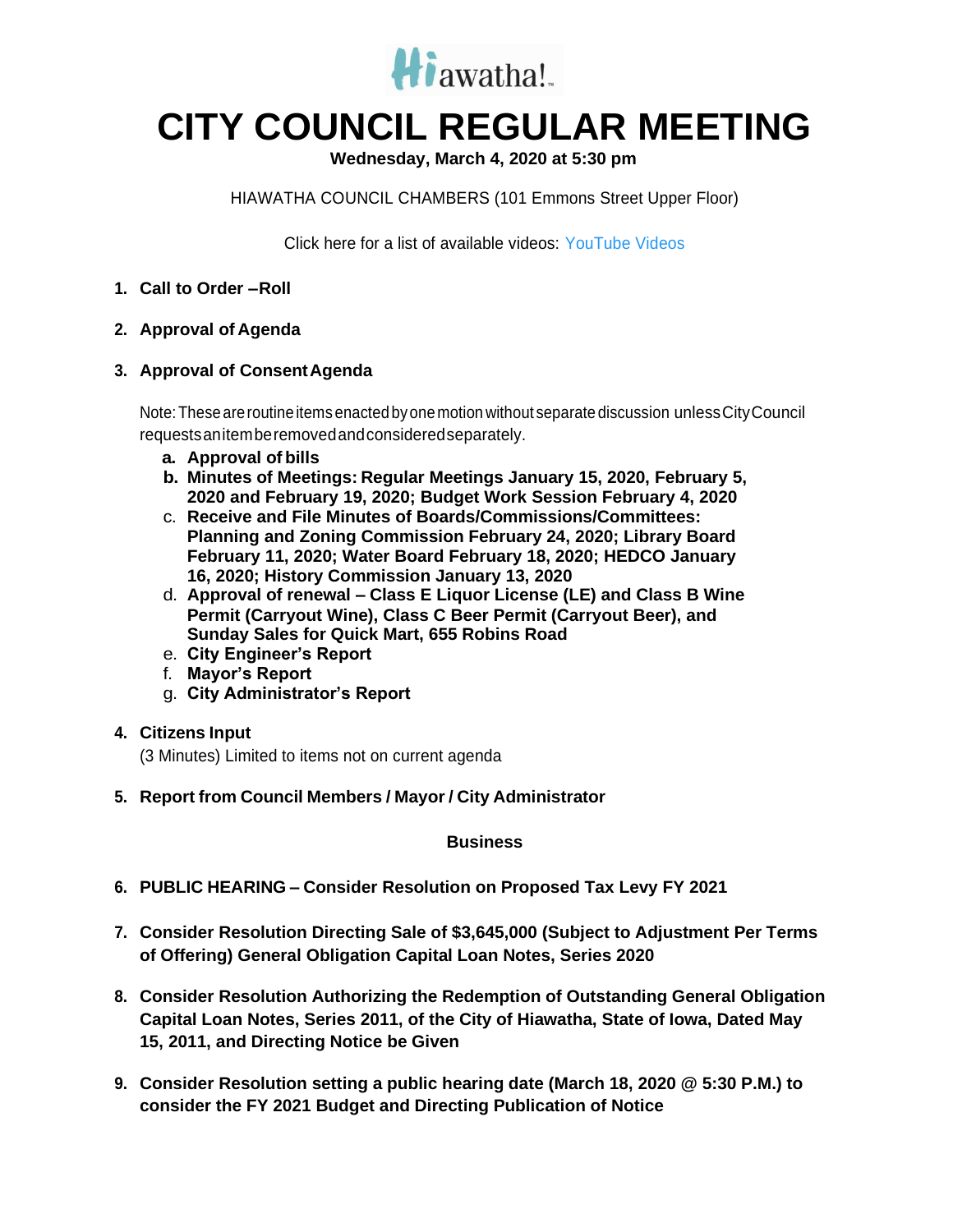

## **CITY COUNCIL REGULAR MEETING**

**Wednesday, March 4, 2020 at 5:30 pm**

HIAWATHA COUNCIL CHAMBERS (101 Emmons Street Upper Floor)

Click here for a list of available videos: [YouTube Videos](https://www.youtube.com/channel/UC3Vyub-x0FNe8YImqf5XsOQ)

- **1. Call to Order –Roll**
- **2. Approval of Agenda**
- **3. Approval of ConsentAgenda**

Note:These areroutineitemsenacted byonemotion without separate discussion unlessCityCouncil requestsanitemberemovedandconsideredseparately.

- **a. Approval of bills**
- **b. Minutes of Meetings: Regular Meetings January 15, 2020, February 5, 2020 and February 19, 2020; Budget Work Session February 4, 2020**
- c. **Receive and File Minutes of Boards/Commissions/Committees: Planning and Zoning Commission February 24, 2020; Library Board February 11, 2020; Water Board February 18, 2020; HEDCO January 16, 2020; History Commission January 13, 2020**
- d. **Approval of renewal – Class E Liquor License (LE) and Class B Wine Permit (Carryout Wine), Class C Beer Permit (Carryout Beer), and Sunday Sales for Quick Mart, 655 Robins Road**
- e. **City Engineer's Report**
- f. **Mayor's Report**
- g. **City Administrator's Report**

## **4. Citizens Input**

(3 Minutes) Limited to items not on current agenda

**5. Report from Council Members / Mayor / City Administrator**

## **Business**

- **6. PUBLIC HEARING – Consider Resolution on Proposed Tax Levy FY 2021**
- **7. Consider Resolution Directing Sale of \$3,645,000 (Subject to Adjustment Per Terms of Offering) General Obligation Capital Loan Notes, Series 2020**
- **8. Consider Resolution Authorizing the Redemption of Outstanding General Obligation Capital Loan Notes, Series 2011, of the City of Hiawatha, State of Iowa, Dated May 15, 2011, and Directing Notice be Given**
- **9. Consider Resolution setting a public hearing date (March 18, 2020 @ 5:30 P.M.) to consider the FY 2021 Budget and Directing Publication of Notice**